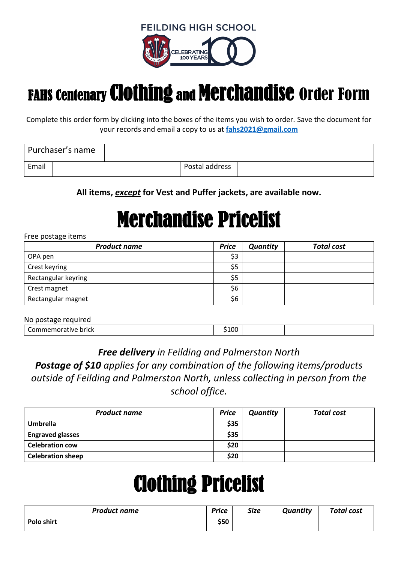**FEILDING HIGH SCHOOL** 



### FAHS Centenary Clothing and Merchandise Order Form

Complete this order form by clicking into the boxes of the items you wish to order. Save the document for your records and email a copy to us at **[fahs2021@gmail.com](mailto:fahs2021@gmail.com)**

|       | Purchaser's name |                |  |
|-------|------------------|----------------|--|
| Email |                  | Postal address |  |

**All items,** *except* **for Vest and Puffer jackets, are available now.**

# Merchandise Pricelist

#### Free postage items

| <b>Product name</b> | <b>Price</b> | <b>Quantity</b> | <b>Total cost</b> |
|---------------------|--------------|-----------------|-------------------|
| OPA pen             | \$3          |                 |                   |
| Crest keyring       | \$5          |                 |                   |
| Rectangular keyring | \$5          |                 |                   |
| Crest magnet        | \$6          |                 |                   |
| Rectangular magnet  | \$6          |                 |                   |

| No postage required   |      |  |
|-----------------------|------|--|
| l Commemorative brick | :100 |  |

### *Free delivery in Feilding and Palmerston North*

*Postage of \$10 applies for any combination of the following items/products outside of Feilding and Palmerston North, unless collecting in person from the school office.*

| <b>Product name</b>      | <b>Price</b> | Quantity | <b>Total cost</b> |
|--------------------------|--------------|----------|-------------------|
| <b>Umbrella</b>          | \$35         |          |                   |
| <b>Engraved glasses</b>  | \$35         |          |                   |
| <b>Celebration cow</b>   | \$20         |          |                   |
| <b>Celebration sheep</b> | \$20         |          |                   |

# Clothing Pricelist

| <b>Product name</b> | Price | <b>Size</b> | Quantity | <b>Total cost</b> |
|---------------------|-------|-------------|----------|-------------------|
| Polo shirt          | \$50  |             |          |                   |